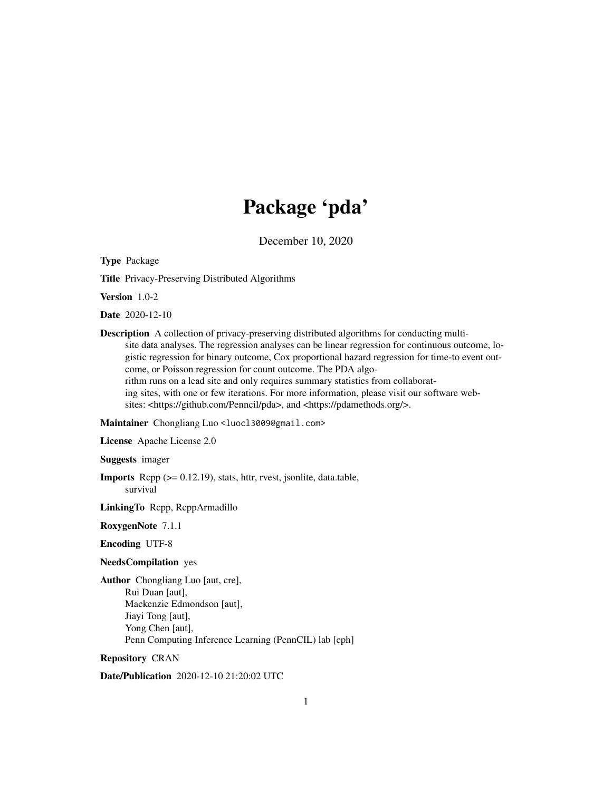# Package 'pda'

December 10, 2020

Type Package

Title Privacy-Preserving Distributed Algorithms

Version 1.0-2

Date 2020-12-10

Description A collection of privacy-preserving distributed algorithms for conducting multisite data analyses. The regression analyses can be linear regression for continuous outcome, logistic regression for binary outcome, Cox proportional hazard regression for time-to event outcome, or Poisson regression for count outcome. The PDA algorithm runs on a lead site and only requires summary statistics from collaborating sites, with one or few iterations. For more information, please visit our software websites: <https://github.com/Penncil/pda>, and <https://pdamethods.org/>.

#### Maintainer Chongliang Luo <luocl3009@gmail.com>

License Apache License 2.0

Suggests imager

Imports Rcpp (>= 0.12.19), stats, httr, rvest, jsonlite, data.table, survival

LinkingTo Rcpp, RcppArmadillo

RoxygenNote 7.1.1

Encoding UTF-8

#### NeedsCompilation yes

Author Chongliang Luo [aut, cre], Rui Duan [aut], Mackenzie Edmondson [aut], Jiayi Tong [aut], Yong Chen [aut], Penn Computing Inference Learning (PennCIL) lab [cph]

Repository CRAN

Date/Publication 2020-12-10 21:20:02 UTC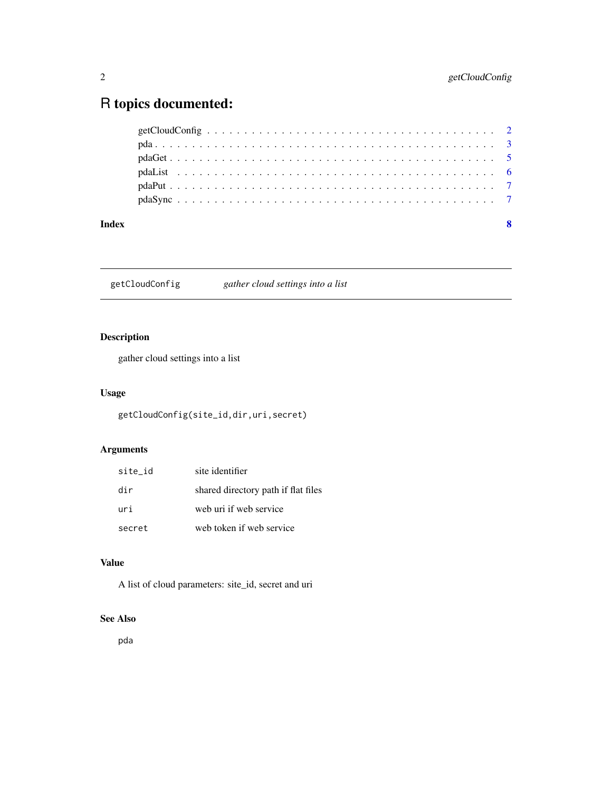## <span id="page-1-0"></span>R topics documented:

| Index |  |
|-------|--|
|       |  |
|       |  |
|       |  |
|       |  |
|       |  |
|       |  |

getCloudConfig *gather cloud settings into a list*

### Description

gather cloud settings into a list

#### Usage

getCloudConfig(site\_id,dir,uri,secret)

### Arguments

| site id | site identifier                     |
|---------|-------------------------------------|
| dir     | shared directory path if flat files |
| uri     | web uri if web service              |
| secret  | web token if web service            |

### Value

A list of cloud parameters: site\_id, secret and uri

#### See Also

pda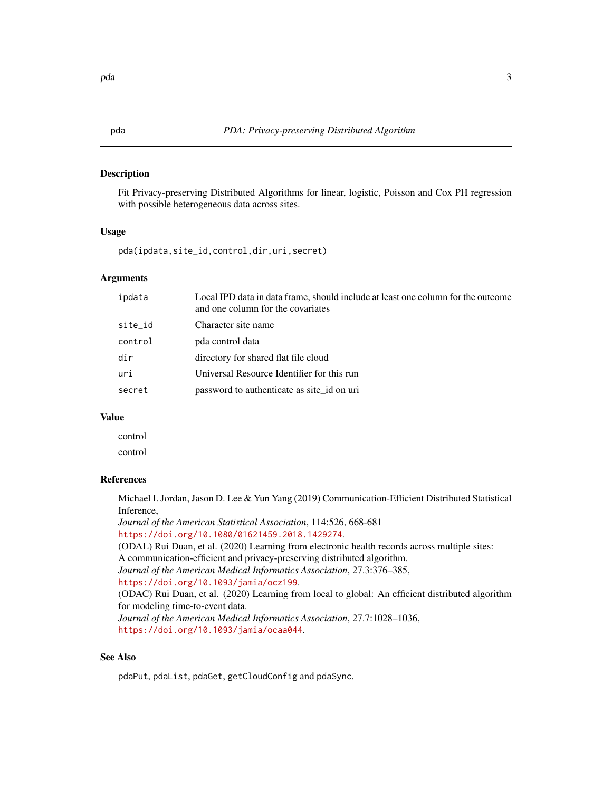#### <span id="page-2-0"></span>Description

Fit Privacy-preserving Distributed Algorithms for linear, logistic, Poisson and Cox PH regression with possible heterogeneous data across sites.

#### Usage

pda(ipdata,site\_id,control,dir,uri,secret)

#### **Arguments**

| ipdata  | Local IPD data in data frame, should include at least one column for the outcome<br>and one column for the covariates |
|---------|-----------------------------------------------------------------------------------------------------------------------|
| site_id | Character site name                                                                                                   |
| control | pda control data                                                                                                      |
| dir     | directory for shared flat file cloud                                                                                  |
| uri     | Universal Resource Identifier for this run                                                                            |
| secret  | password to authenticate as site id on uri                                                                            |
|         |                                                                                                                       |

#### Value

control control

#### References

Michael I. Jordan, Jason D. Lee & Yun Yang (2019) Communication-Efficient Distributed Statistical Inference,

*Journal of the American Statistical Association*, 114:526, 668-681 <https://doi.org/10.1080/01621459.2018.1429274>.

(ODAL) Rui Duan, et al. (2020) Learning from electronic health records across multiple sites: A communication-efficient and privacy-preserving distributed algorithm. *Journal of the American Medical Informatics Association*, 27.3:376–385, <https://doi.org/10.1093/jamia/ocz199>. (ODAC) Rui Duan, et al. (2020) Learning from local to global: An efficient distributed algorithm

for modeling time-to-event data. *Journal of the American Medical Informatics Association*, 27.7:1028–1036, <https://doi.org/10.1093/jamia/ocaa044>.

#### See Also

pdaPut, pdaList, pdaGet, getCloudConfig and pdaSync.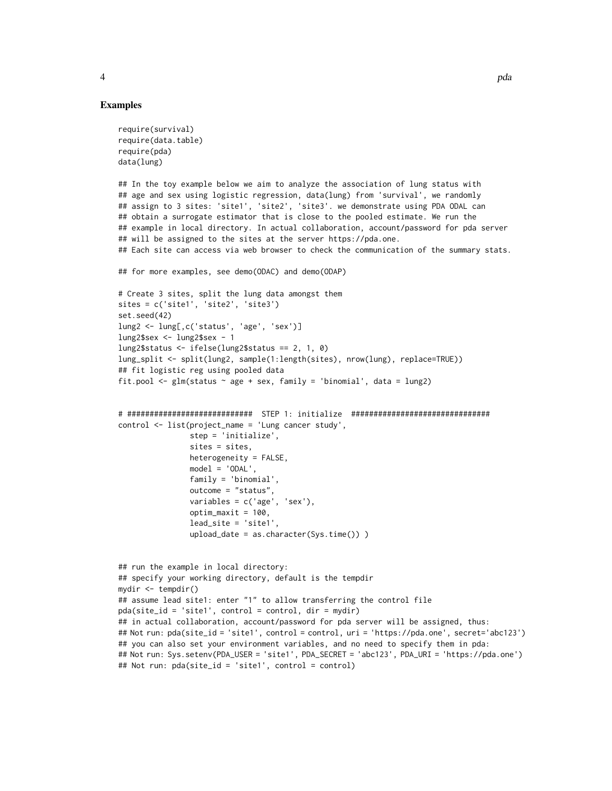```
require(survival)
require(data.table)
require(pda)
data(lung)
## In the toy example below we aim to analyze the association of lung status with
## age and sex using logistic regression, data(lung) from 'survival', we randomly
## assign to 3 sites: 'site1', 'site2', 'site3'. we demonstrate using PDA ODAL can
## obtain a surrogate estimator that is close to the pooled estimate. We run the
## example in local directory. In actual collaboration, account/password for pda server
## will be assigned to the sites at the server https://pda.one.
## Each site can access via web browser to check the communication of the summary stats.
## for more examples, see demo(ODAC) and demo(ODAP)
# Create 3 sites, split the lung data amongst them
sites = c('site1', 'site2', 'site3')
set.seed(42)
lung2 <- lung[,c('status', 'age', 'sex')]
lung2$sex <- lung2$sex - 1
lung2$status <- ifelse(lung2$status == 2, 1, 0)
lung_split <- split(lung2, sample(1:length(sites), nrow(lung), replace=TRUE))
## fit logistic reg using pooled data
fit.pool <- glm(status ~ age + sex, family = 'binomial', data = lung2)
# ############################ STEP 1: initialize ###############################
control <- list(project_name = 'Lung cancer study',
               step = 'initialize',
                sites = sites,
                heterogeneity = FALSE,
               model = 'ODAL',family = 'binomial',
                outcome = "status",
                variables = c('age', 'sex'),
                optim_maxit = 100,
                lead_site = 'site1',
                upload_date = as.character(Sys.time()) )
## run the example in local directory:
## specify your working directory, default is the tempdir
mydir <- tempdir()
## assume lead site1: enter "1" to allow transferring the control file
pda(site_id = 'site1', control = control, dir = mydir)
## in actual collaboration, account/password for pda server will be assigned, thus:
## Not run: pda(site_id = 'site1', control = control, uri = 'https://pda.one', secret='abc123')
## you can also set your environment variables, and no need to specify them in pda:
## Not run: Sys.setenv(PDA_USER = 'site1', PDA_SECRET = 'abc123', PDA_URI = 'https://pda.one')
```
4 pda energy and the set of the set of the set of the set of the set of the set of the set of the set of the set of the set of the set of the set of the set of the set of the set of the set of the set of the set of the set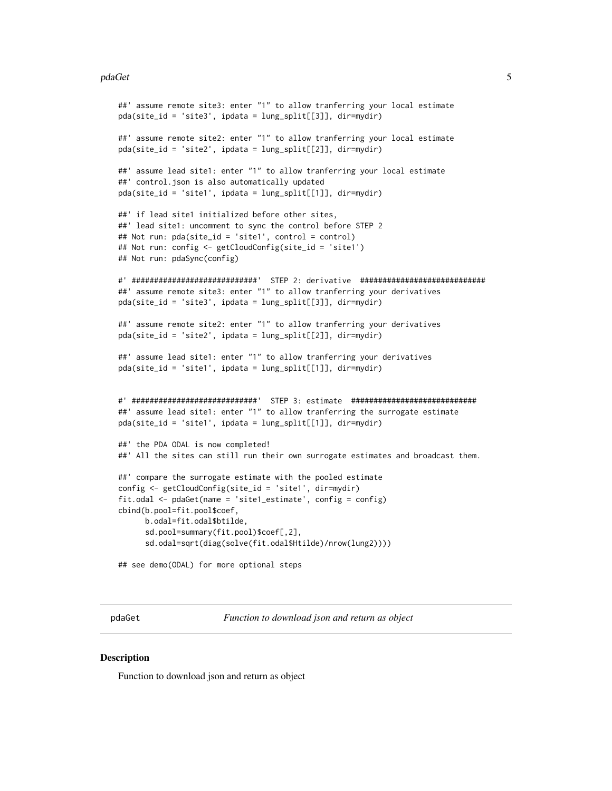#### <span id="page-4-0"></span>pdaGet 5 and 5 and 5 and 5 and 5 and 5 and 5 and 5 and 5 and 5 and 5 and 5 and 5 and 5 and 5 and 5 and 5 and 5

```
##' assume remote site3: enter "1" to allow tranferring your local estimate
pda(site_id = 'site3', ipdata = lung_split[[3]], dir=mydir)
##' assume remote site2: enter "1" to allow tranferring your local estimate
pda(site_id = 'site2', ipdata = lung_split[[2]], dir=mydir)
##' assume lead site1: enter "1" to allow tranferring your local estimate
##' control.json is also automatically updated
pda(site_id = 'site1', ipdata = lung_split[[1]], dir=mydir)
##' if lead site1 initialized before other sites,
##' lead site1: uncomment to sync the control before STEP 2
## Not run: pda(site_id = 'site1', control = control)
## Not run: config <- getCloudConfig(site_id = 'site1')
## Not run: pdaSync(config)
#' ############################' STEP 2: derivative ############################
##' assume remote site3: enter "1" to allow tranferring your derivatives
pda(site_id = 'site3', ipdata = lung_split[[3]], dir=mydir)
##' assume remote site2: enter "1" to allow tranferring your derivatives
pda(site_id = 'site2', ipdata = lung_split[[2]], dir=mydir)
##' assume lead site1: enter "1" to allow tranferring your derivatives
pda(site_id = 'site1', ipdata = lung_split[[1]], dir=mydir)
#' ############################' STEP 3: estimate ############################
##' assume lead site1: enter "1" to allow tranferring the surrogate estimate
pda(site_id = 'site1', ipdata = lung_split[[1]], dir=mydir)
##' the PDA ODAL is now completed!
##' All the sites can still run their own surrogate estimates and broadcast them.
##' compare the surrogate estimate with the pooled estimate
config <- getCloudConfig(site_id = 'site1', dir=mydir)
fit.odal <- pdaGet(name = 'site1_estimate', config = config)
cbind(b.pool=fit.pool$coef,
      b.odal=fit.odal$btilde,
      sd.pool=summary(fit.pool)$coef[,2],
      sd.odal=sqrt(diag(solve(fit.odal$Htilde)/nrow(lung2))))
```
pdaGet *Function to download json and return as object*

#### **Description**

Function to download json and return as object

## see demo(ODAL) for more optional steps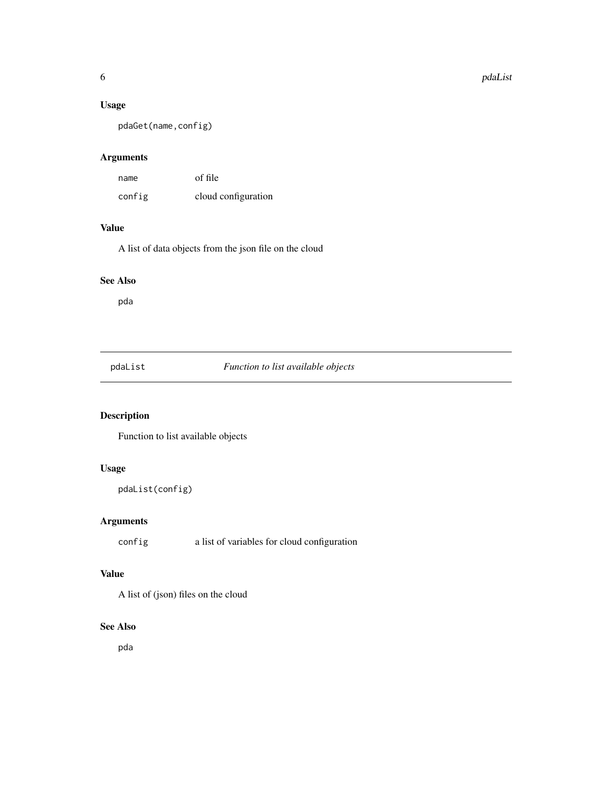#### <span id="page-5-0"></span>Usage

pdaGet(name,config)

#### Arguments

| name   | of file             |
|--------|---------------------|
| config | cloud configuration |

### Value

A list of data objects from the json file on the cloud

#### See Also

pda

pdaList *Function to list available objects*

### Description

Function to list available objects

#### Usage

```
pdaList(config)
```
#### Arguments

config a list of variables for cloud configuration

#### Value

A list of (json) files on the cloud

#### See Also

pda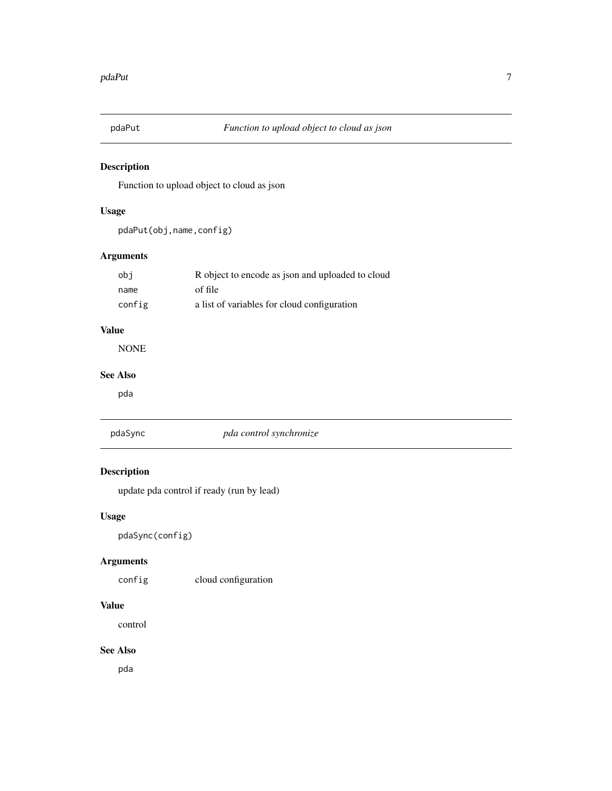<span id="page-6-0"></span>

#### Description

Function to upload object to cloud as json

#### Usage

pdaPut(obj,name,config)

#### Arguments

| obi    | R object to encode as json and uploaded to cloud |
|--------|--------------------------------------------------|
| name   | of file                                          |
| config | a list of variables for cloud configuration      |

#### Value

NONE

#### See Also

pda

| pdaSvnc |  |  |
|---------|--|--|
|         |  |  |
|         |  |  |

#### pdaSync *pda control synchronize*

#### Description

update pda control if ready (run by lead)

#### Usage

pdaSync(config)

### Arguments

config cloud configuration

#### Value

control

#### See Also

pda